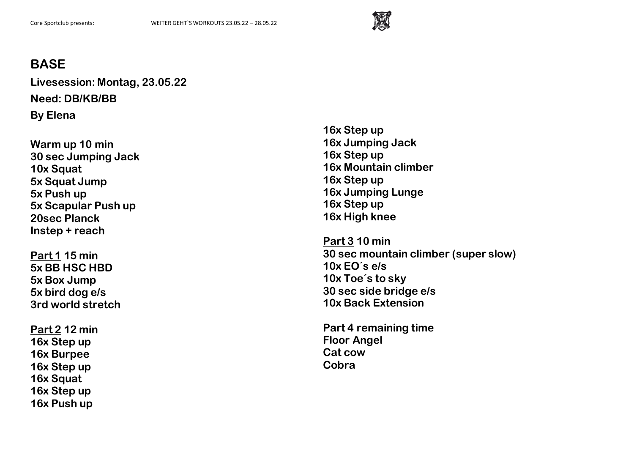

**Livesession: Montag, 23.05.22 Need: DB/KB/BB By Elena**

**Warm up 10 min 30 sec Jumping Jack 10x Squat 5x Squat Jump 5x Push up 5x Scapular Push up 20sec Planck Instep + reach**

**Part 1 15 min 5x BB HSC HBD 5x Box Jump 5x bird dog e/s 3rd world stretch**

**Part 2 12 min 16x Step up 16x Burpee 16x Step up 16x Squat 16x Step up 16x Push up**

**16x Step up 16x Jumping Jack 16x Step up 16x Mountain climber 16x Step up 16x Jumping Lunge 16x Step up 16x High knee**

**Part 3 10 min 30 sec mountain climber (super slow) 10x EO´s e/s 10x Toe´s to sky 30 sec side bridge e/s 10x Back Extension**

**Part 4 remaining time Floor Angel Cat cow Cobra**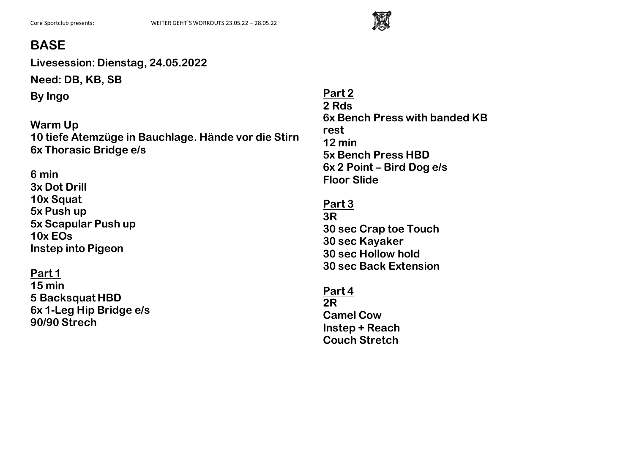

**Livesession: Dienstag, 24.05.2022**

**Need: DB, KB, SB**

**By Ingo**

**Warm Up 10 tiefe Atemzüge in Bauchlage. Hände vor die Stirn 6x Thorasic Bridge e/s**

**6 min 3x Dot Drill 10x Squat 5x Push up 5x Scapular Push up 10x EOs Instep into Pigeon**

**Part 1 15 min 5 Backsquat HBD 6x 1-Leg Hip Bridge e/s 90/90 Strech**

**Part 2 2 Rds 6x Bench Press with banded KB rest 12 min 5x Bench Press HBD 6x 2 Point – Bird Dog e/s Floor Slide**

**Part 3 3R 30 sec Crap toe Touch 30 sec Kayaker 30 sec Hollow hold 30 sec Back Extension**

**Part 4 2R Camel Cow Instep + Reach Couch Stretch**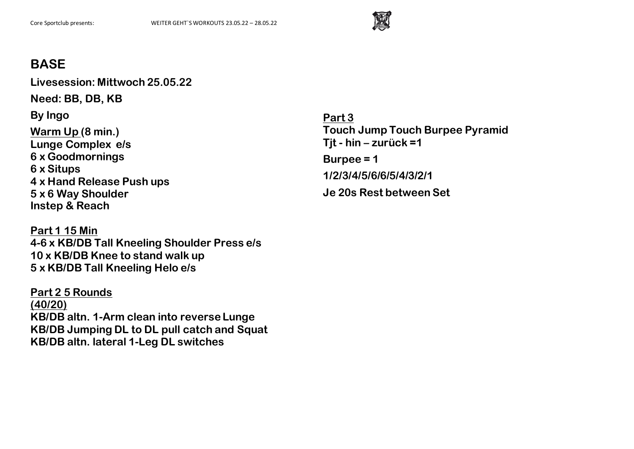

**Livesession: Mittwoch 25.05.22**

**Need: BB, DB, KB**

**By Ingo**

**Warm Up (8 min.) Lunge Complex e/s 6 x Goodmornings 6 x Situps 4 x Hand Release Push ups 5 x 6 Way Shoulder Instep & Reach**

**Part 1 15 Min 4-6 x KB/DB Tall Kneeling Shoulder Press e/s 10 x KB/DB Knee to stand walk up 5 x KB/DB Tall Kneeling Helo e/s**

**Part 2 5 Rounds (40/20) KB/DB altn. 1-Arm clean into reverse Lunge KB/DB Jumping DL to DL pull catch and Squat KB/DB altn. lateral 1-Leg DL switches**

**Part 3 Touch Jump Touch Burpee Pyramid Tjt - hin – zurück =1 Burpee = 1 1/2/3/4/5/6/6/5/4/3/2/1 Je 20s Rest between Set**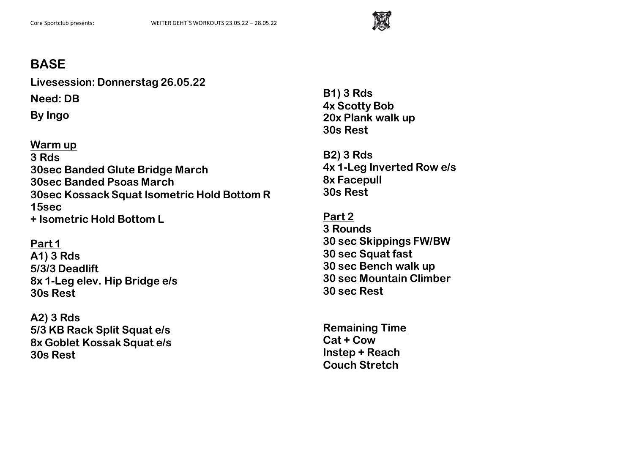

**Livesession: Donnerstag 26.05.22**

**Need: DB**

**By Ingo**

**Warm up 3 Rds 30sec Banded Glute Bridge March 30sec Banded Psoas March 30sec Kossack Squat Isometric Hold Bottom R 15sec + Isometric Hold Bottom L** 

**Part 1 A1) 3 Rds 5/3/3 Deadlift 8x 1-Leg elev. Hip Bridge e/s 30s Rest**

**A2) 3 Rds 5/3 KB Rack Split Squat e/s 8x Goblet Kossak Squat e/s 30s Rest** 

**B1) 3 Rds 4x Scotty Bob 20x Plank walk up 30s Rest**

**B2) 3 Rds 4x 1-Leg Inverted Row e/s 8x Facepull 30s Rest**

**Part 2 3 Rounds 30 sec Skippings FW/BW 30 sec Squat fast 30 sec Bench walk up 30 sec Mountain Climber 30 sec Rest**

**Remaining Time Cat + Cow Instep + Reach Couch Stretch**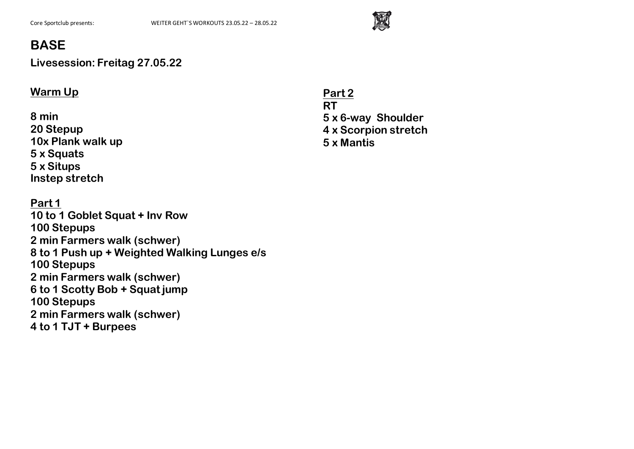

**Livesession: Freitag 27.05.22**

#### **Warm Up**

**8 min 20 Stepup 10x Plank walk up 5 x Squats 5 x Situps Instep stretch** 

**Part 1 10 to 1 Goblet Squat + Inv Row 100 Stepups 2 min Farmers walk (schwer) 8 to 1 Push up + Weighted Walking Lunges e/s 100 Stepups 2 min Farmers walk (schwer) 6 to 1 Scotty Bob + Squat jump 100 Stepups 2 min Farmers walk (schwer) 4 to 1 TJT + Burpees**

**Part 2 RT 5 x 6-way Shoulder 4 x Scorpion stretch 5 x Mantis**